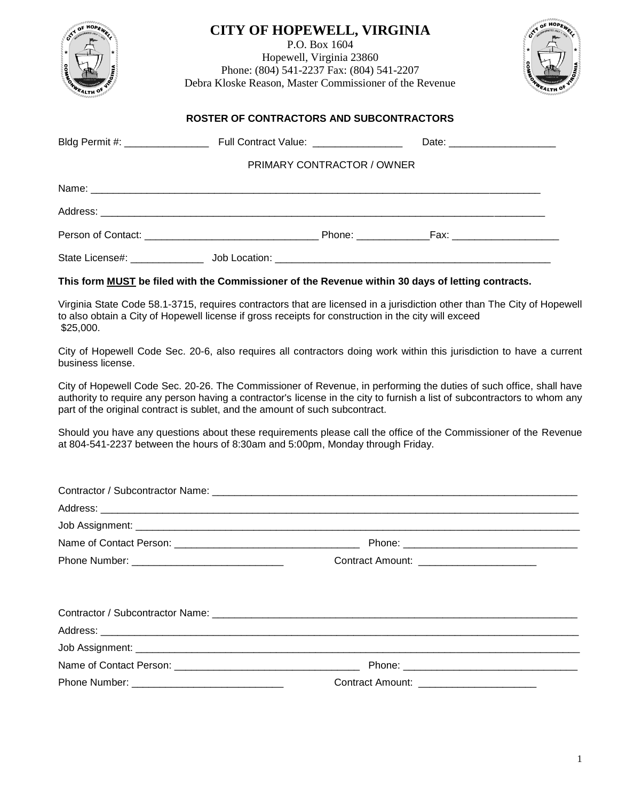| <b>CITY OF HOPEWELL, VIRGINIA</b><br>P.O. Box 1604<br>Hopewell, Virginia 23860<br>Phone: (804) 541-2237 Fax: (804) 541-2207<br>Debra Kloske Reason, Master Commissioner of the Revenue                                                            |                            |  |  |
|---------------------------------------------------------------------------------------------------------------------------------------------------------------------------------------------------------------------------------------------------|----------------------------|--|--|
| <b>ROSTER OF CONTRACTORS AND SUBCONTRACTORS</b>                                                                                                                                                                                                   |                            |  |  |
|                                                                                                                                                                                                                                                   |                            |  |  |
|                                                                                                                                                                                                                                                   | PRIMARY CONTRACTOR / OWNER |  |  |
|                                                                                                                                                                                                                                                   |                            |  |  |
|                                                                                                                                                                                                                                                   |                            |  |  |
|                                                                                                                                                                                                                                                   |                            |  |  |
|                                                                                                                                                                                                                                                   |                            |  |  |
| This form <b>MUST</b> be filed with the Commissioner of the Revenue within 30 days of letting contracts.                                                                                                                                          |                            |  |  |
| Virginia State Code 58.1-3715, requires contractors that are licensed in a jurisdiction other than The City of Hopewell<br>المستحدث والمستحيل والمستحيل والمستحدث والمستحدث والمستحدث والمستحدث والمستحدث والمستحدث والمستحدث والمستحدث والمستحدث |                            |  |  |

to also obtain a City of Hopewell license if gross receipts for construction in the city will exceed \$25,000.

City of Hopewell Code Sec. 20-6, also requires all contractors doing work within this jurisdiction to have a current business license.

City of Hopewell Code Sec. 20-26. The Commissioner of Revenue, in performing the duties of such office, shall have authority to require any person having a contractor's license in the city to furnish a list of subcontractors to whom any part of the original contract is sublet, and the amount of such subcontract.

Should you have any questions about these requirements please call the office of the Commissioner of the Revenue at 804-541-2237 between the hours of 8:30am and 5:00pm, Monday through Friday.

| Contract Amount: _______________________  |  |
|-------------------------------------------|--|
|                                           |  |
|                                           |  |
|                                           |  |
|                                           |  |
|                                           |  |
| Contract Amount: ________________________ |  |